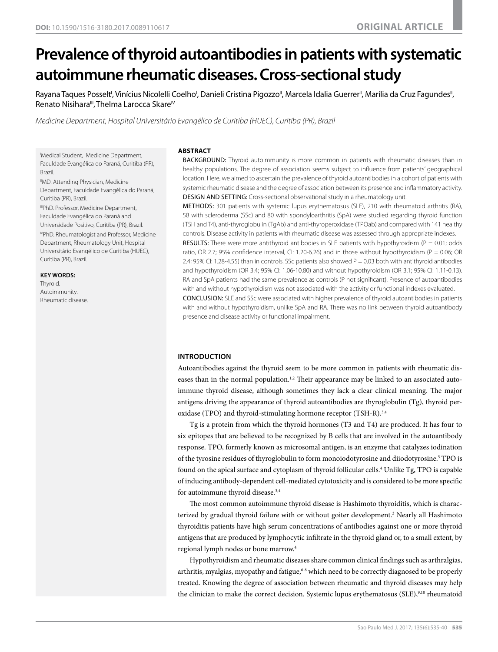# **Prevalence of thyroid autoantibodies in patients with systematic autoimmune rheumatic diseases. Cross-sectional study**

Rayana Taques Posselt', Vinícius Nicolelli Coelho', Danieli Cristina Pigozzo", Marcela Idalia Guerrer", Marília da Cruz Fagundes", Renato Nisihara<sup>III</sup>, Thelma Larocca Skare<sup>IV</sup>

*Medicine Department, Hospital Universitário Evangélico de Curitiba (HUEC), Curitiba (PR), Brazil*

I Medical Student, Medicine Department, Faculdade Evangélica do Paraná, Curitiba (PR), Brazil.

"MD. Attending Physician, Medicine Department, Faculdade Evangélica do Paraná, Curitiba (PR), Brazil.

IIIPhD. Professor, Medicine Department, Faculdade Evangélica do Paraná and Universidade Positivo, Curitiba (PR), Brazil.

IVPhD. Rheumatologist and Professor, Medicine Department, Rheumatology Unit, Hospital Universitário Evangélico de Curitiba (HUEC), Curitiba (PR), Brazil.

#### **KEY WORDS:**

Thyroid. Autoimmunity. Rheumatic disease.

#### **ABSTRACT**

BACKGROUND: Thyroid autoimmunity is more common in patients with rheumatic diseases than in healthy populations. The degree of association seems subject to influence from patients' geographical location. Here, we aimed to ascertain the prevalence of thyroid autoantibodies in a cohort of patients with systemic rheumatic disease and the degree of association between its presence and inflammatory activity. DESIGN AND SETTING: Cross-sectional observational study in a rheumatology unit.

METHODS: 301 patients with systemic lupus erythematosus (SLE), 210 with rheumatoid arthritis (RA), 58 with scleroderma (SSc) and 80 with spondyloarthritis (SpA) were studied regarding thyroid function (TSH and T4), anti-thyroglobulin (TgAb) and anti-thyroperoxidase (TPOab) and compared with 141 healthy controls. Disease activity in patients with rheumatic disease was assessed through appropriate indexes.

**RESULTS:** There were more antithyroid antibodies in SLE patients with hypothyroidism ( $P = 0.01$ ; odds ratio, OR 2.7; 95% confidence interval, CI: 1.20-6.26) and in those without hypothyroidism (P = 0.06; OR 2.4; 95% CI: 1.28-4.55) than in controls. SSc patients also showed  $P = 0.03$  both with antithyroid antibodies and hypothyroidism (OR 3.4; 95% CI: 1.06-10.80) and without hypothyroidism (OR 3.1; 95% CI: 1.11-0.13). RA and SpA patients had the same prevalence as controls (P not significant). Presence of autoantibodies with and without hypothyroidism was not associated with the activity or functional indexes evaluated.

CONCLUSION: SLE and SSc were associated with higher prevalence of thyroid autoantibodies in patients with and without hypothyroidism, unlike SpA and RA. There was no link between thyroid autoantibody presence and disease activity or functional impairment.

# **INTRODUCTION**

Autoantibodies against the thyroid seem to be more common in patients with rheumatic diseases than in the normal population.<sup>1,2</sup> Their appearance may be linked to an associated autoimmune thyroid disease, although sometimes they lack a clear clinical meaning. The major antigens driving the appearance of thyroid autoantibodies are thyroglobulin (Tg), thyroid peroxidase (TPO) and thyroid-stimulating hormone receptor (TSH-R).3,4

Tg is a protein from which the thyroid hormones (T3 and T4) are produced. It has four to six epitopes that are believed to be recognized by B cells that are involved in the autoantibody response. TPO, formerly known as microsomal antigen, is an enzyme that catalyzes iodination of the tyrosine residues of thyroglobulin to form monoiodotyrosine and diiodotyrosine.<sup>5</sup> TPO is found on the apical surface and cytoplasm of thyroid follicular cells.<sup>4</sup> Unlike Tg, TPO is capable of inducing antibody-dependent cell-mediated cytotoxicity and is considered to be more specific for autoimmune thyroid disease.<sup>3,4</sup>

The most common autoimmune thyroid disease is Hashimoto thyroiditis, which is characterized by gradual thyroid failure with or without goiter development.<sup>3</sup> Nearly all Hashimoto thyroiditis patients have high serum concentrations of antibodies against one or more thyroid antigens that are produced by lymphocytic infiltrate in the thyroid gland or, to a small extent, by regional lymph nodes or bone marrow.4

Hypothyroidism and rheumatic diseases share common clinical findings such as arthralgias, arthritis, myalgias, myopathy and fatigue, $6-8$  which need to be correctly diagnosed to be properly treated. Knowing the degree of association between rheumatic and thyroid diseases may help the clinician to make the correct decision. Systemic lupus erythematosus (SLE),<sup>9,10</sup> rheumatoid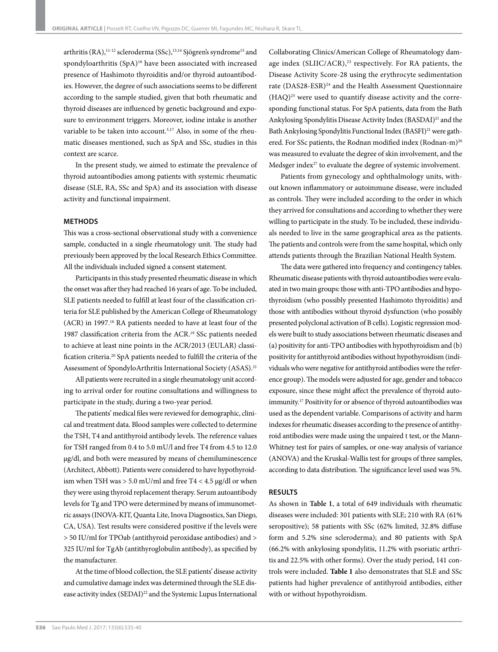arthritis (RA),<sup>11-12</sup> scleroderma (SSc),<sup>13,14</sup> Sjögren's syndrome<sup>15</sup> and spondyloarthritis (SpA)<sup>16</sup> have been associated with increased presence of Hashimoto thyroiditis and/or thyroid autoantibodies. However, the degree of such associations seems to be different according to the sample studied, given that both rheumatic and thyroid diseases are influenced by genetic background and exposure to environment triggers. Moreover, iodine intake is another variable to be taken into account.<sup>5,17</sup> Also, in some of the rheumatic diseases mentioned, such as SpA and SSc, studies in this context are scarce.

In the present study, we aimed to estimate the prevalence of thyroid autoantibodies among patients with systemic rheumatic disease (SLE, RA, SSc and SpA) and its association with disease activity and functional impairment.

# **METHODS**

This was a cross-sectional observational study with a convenience sample, conducted in a single rheumatology unit. The study had previously been approved by the local Research Ethics Committee. All the individuals included signed a consent statement.

Participants in this study presented rheumatic disease in which the onset was after they had reached 16 years of age. To be included, SLE patients needed to fulfill at least four of the classification criteria for SLE published by the American College of Rheumatology (ACR) in 1997.18 RA patients needed to have at least four of the 1987 classification criteria from the ACR.<sup>19</sup> SSc patients needed to achieve at least nine points in the ACR/2013 (EULAR) classification criteria.20 SpA patients needed to fulfill the criteria of the Assessment of SpondyloArthritis International Society (ASAS).<sup>21</sup>

All patients were recruited in a single rheumatology unit according to arrival order for routine consultations and willingness to participate in the study, during a two-year period.

The patients' medical files were reviewed for demographic, clinical and treatment data. Blood samples were collected to determine the TSH, T4 and antithyroid antibody levels. The reference values for TSH ranged from 0.4 to 5.0 mU/l and free T4 from 4.5 to 12.0 μg/dl, and both were measured by means of chemiluminescence (Architect, Abbott). Patients were considered to have hypothyroidism when TSH was > 5.0 mU/ml and free T4 < 4.5 μg/dl or when they were using thyroid replacement therapy. Serum autoantibody levels for Tg and TPO were determined by means of immunometric assays (INOVA-KIT, Quanta Lite, Inova Diagnostics, San Diego, CA, USA). Test results were considered positive if the levels were > 50 IU/ml for TPOab (antithyroid peroxidase antibodies) and > 325 IU/ml for TgAb (antithyroglobulin antibody), as specified by the manufacturer.

At the time of blood collection, the SLE patients' disease activity and cumulative damage index was determined through the SLE disease activity index (SEDAI)<sup>22</sup> and the Systemic Lupus International Collaborating Clinics/American College of Rheumatology damage index (SLIIC/ACR),<sup>23</sup> respectively. For RA patients, the Disease Activity Score-28 using the erythrocyte sedimentation rate (DAS28-ESR)24 and the Health Assessment Questionnaire (HAQ)25 were used to quantify disease activity and the corresponding functional status. For SpA patients, data from the Bath Ankylosing Spondylitis Disease Activity Index (BASDAI)<sup>21</sup> and the Bath Ankylosing Spondylitis Functional Index (BASFI)<sup>21</sup> were gathered. For SSc patients, the Rodnan modified index (Rodnan-m)<sup>26</sup> was measured to evaluate the degree of skin involvement, and the Medsger index<sup>27</sup> to evaluate the degree of systemic involvement.

Patients from gynecology and ophthalmology units, without known inflammatory or autoimmune disease, were included as controls. They were included according to the order in which they arrived for consultations and according to whether they were willing to participate in the study. To be included, these individuals needed to live in the same geographical area as the patients. The patients and controls were from the same hospital, which only attends patients through the Brazilian National Health System.

The data were gathered into frequency and contingency tables. Rheumatic disease patients with thyroid autoantibodies were evaluated in two main groups: those with anti-TPO antibodies and hypothyroidism (who possibly presented Hashimoto thyroiditis) and those with antibodies without thyroid dysfunction (who possibly presented polyclonal activation of B cells). Logistic regression models were built to study associations between rheumatic diseases and (a) positivity for anti-TPO antibodies with hypothyroidism and (b) positivity for antithyroid antibodies without hypothyroidism (individuals who were negative for antithyroid antibodies were the reference group). The models were adjusted for age, gender and tobacco exposure, since these might affect the prevalence of thyroid autoimmunity.17 Positivity for or absence of thyroid autoantibodies was used as the dependent variable. Comparisons of activity and harm indexes for rheumatic diseases according to the presence of antithyroid antibodies were made using the unpaired t test, or the Mann-Whitney test for pairs of samples, or one-way analysis of variance (ANOVA) and the Kruskal-Wallis test for groups of three samples, according to data distribution. The significance level used was 5%.

## **RESULTS**

As shown in **Table 1**, a total of 649 individuals with rheumatic diseases were included: 301 patients with SLE; 210 with RA (61% seropositive); 58 patients with SSc (62% limited, 32.8% diffuse form and 5.2% sine scleroderma); and 80 patients with SpA (66.2% with ankylosing spondylitis, 11.2% with psoriatic arthritis and 22.5% with other forms). Over the study period, 141 controls were included. **Table 1** also demonstrates that SLE and SSc patients had higher prevalence of antithyroid antibodies, either with or without hypothyroidism.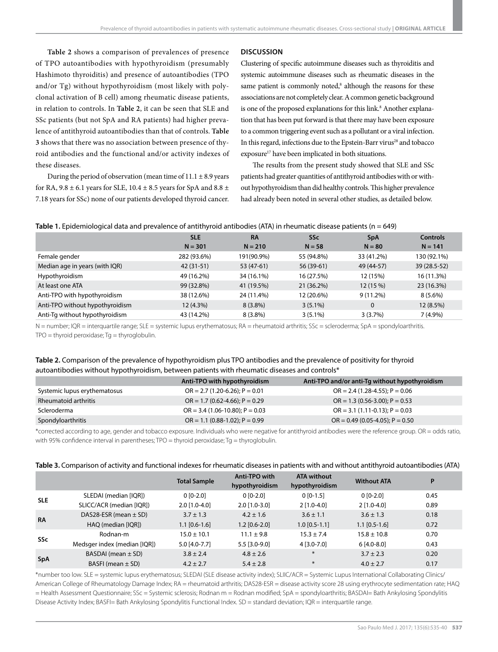# **Table 2** shows a comparison of prevalences of presence of TPO autoantibodies with hypothyroidism (presumably Hashimoto thyroiditis) and presence of autoantibodies (TPO and/or Tg) without hypothyroidism (most likely with polyclonal activation of B cell) among rheumatic disease patients, in relation to controls. In **Table 2**, it can be seen that SLE and SSc patients (but not SpA and RA patients) had higher prevalence of antithyroid autoantibodies than that of controls. **Table 3** shows that there was no association between presence of thyroid antibodies and the functional and/or activity indexes of these diseases.

During the period of observation (mean time of  $11.1 \pm 8.9$  years for RA,  $9.8 \pm 6.1$  years for SLE,  $10.4 \pm 8.5$  years for SpA and  $8.8 \pm$ 7.18 years for SSc) none of our patients developed thyroid cancer.

# **DISCUSSION**

Clustering of specific autoimmune diseases such as thyroiditis and systemic autoimmune diseases such as rheumatic diseases in the same patient is commonly noted,<sup>8</sup> although the reasons for these associations are not completely clear. A common genetic background is one of the proposed explanations for this link.<sup>8</sup> Another explanation that has been put forward is that there may have been exposure to a common triggering event such as a pollutant or a viral infection. In this regard, infections due to the Epstein-Barr virus<sup>28</sup> and tobacco exposure<sup>17</sup> have been implicated in both situations.

The results from the present study showed that SLE and SSc patients had greater quantities of antithyroid antibodies with or without hypothyroidism than did healthy controls. This higher prevalence had already been noted in several other studies, as detailed below.

| $\overline{\phantom{0}}$        |             |            |            |             |                 |
|---------------------------------|-------------|------------|------------|-------------|-----------------|
|                                 | <b>SLE</b>  | <b>RA</b>  | <b>SSc</b> | <b>SpA</b>  | <b>Controls</b> |
|                                 | $N = 301$   | $N = 210$  | $N = 58$   | $N = 80$    | $N = 141$       |
| Female gender                   | 282 (93.6%) | 191(90.9%) | 55 (94.8%) | 33 (41.2%)  | 130 (92.1%)     |
| Median age in years (with IQR)  | $42(31-51)$ | 53 (47-61) | 56 (39-61) | 49 (44-57)  | 39 (28.5-52)    |
| Hypothyroidism                  | 49 (16.2%)  | 34 (16.1%) | 16 (27.5%) | 12 (15%)    | 16 (11.3%)      |
| At least one ATA                | 99 (32.8%)  | 41 (19.5%) | 21 (36.2%) | 12(15%)     | 23 (16.3%)      |
| Anti-TPO with hypothyroidism    | 38 (12.6%)  | 24 (11.4%) | 12 (20.6%) | $9(11.2\%)$ | $8(5.6\%)$      |
| Anti-TPO without hypothyroidism | 12 (4.3%)   | $8(3.8\%)$ | $3(5.1\%)$ | 0           | 12 (8.5%)       |
| Anti-Tg without hypothyroidism  | 43 (14.2%)  | $8(3.8\%)$ | $3(5.1\%)$ | 3(3.7%)     | $7(4.9\%)$      |
|                                 |             |            |            |             |                 |

# **Table 1.** Epidemiological data and prevalence of antithyroid antibodies (ATA) in rheumatic disease patients (n = 649)

N = number; IQR = interquartile range; SLE = systemic lupus erythematosus; RA = rheumatoid arthritis; SSc = scleroderma; SpA = spondyloarthritis.  $TPO =$  thyroid peroxidase;  $Tg =$  thyroglobulin.

# **Table 2.** Comparison of the prevalence of hypothyroidism plus TPO antibodies and the prevalence of positivity for thyroid autoantibodies without hypothyroidism, between patients with rheumatic diseases and controls\*

|                              | Anti-TPO with hypothyroidism          | Anti-TPO and/or anti-Tq without hypothyroidism |
|------------------------------|---------------------------------------|------------------------------------------------|
| Systemic lupus erythematosus | $OR = 2.7 (1.20-6.26); P = 0.01$      | $OR = 2.4 (1.28 - 4.55); P = 0.06$             |
| Rheumatoid arthritis         | $OR = 1.7 (0.62 - 4.66)$ ; $P = 0.29$ | $OR = 1.3 (0.56 - 3.00)$ ; $P = 0.53$          |
| Scleroderma                  | $OR = 3.4 (1.06 - 10.80); P = 0.03$   | $OR = 3.1 (1.11 - 0.13)$ ; $P = 0.03$          |
| Spondyloarthritis            | $OR = 1.1 (0.88 - 1.02); P = 0.99$    | $OR = 0.49 (0.05 - 4.05); P = 0.50$            |

\*corrected according to age, gender and tobacco exposure. Individuals who were negative for antithyroid antibodies were the reference group. OR = odds ratio, with 95% confidence interval in parentheses; TPO = thyroid peroxidase; Tg = thyroglobulin.

|  |  |  |  | Table 3. Comparison of activity and functional indexes for rheumatic diseases in patients with and without antithyroid autoantibodies (ATA) |  |
|--|--|--|--|---------------------------------------------------------------------------------------------------------------------------------------------|--|
|--|--|--|--|---------------------------------------------------------------------------------------------------------------------------------------------|--|

|            |                              | <b>Total Sample</b> | Anti-TPO with<br>hypothyroidism | <b>ATA without</b><br>hypothyroidism | <b>Without ATA</b> | P    |
|------------|------------------------------|---------------------|---------------------------------|--------------------------------------|--------------------|------|
| <b>SLE</b> | SLEDAI (median [IQR])        | $0$ [0-2.0]         | $0$ [0-2.0]                     | $0 [0-1.5]$                          | $0$ [0-2.0]        | 0.45 |
|            | SLICC/ACR (median [IQR])     | $2.0$ [1.0-4.0]     | $2.0$ [1.0-3.0]                 | $2$ [1.0-4.0]                        | $2$ [1.0-4.0]      | 0.89 |
| <b>RA</b>  | DAS28-ESR (mean $\pm$ SD)    | $3.7 \pm 1.3$       | $4.2 \pm 1.6$                   | $3.6 \pm 1.1$                        | $3.6 \pm 1.3$      | 0.18 |
|            | HAQ (median [IQR])           | $1.1$ [0.6-1.6]     | $1.2$ [0.6-2.0]                 | $1.0$ [0.5-1.1]                      | $1.1$ [0.5-1.6]    | 0.72 |
| <b>SSc</b> | Rodnan-m                     | $15.0 \pm 10.1$     | $11.1 \pm 9.8$                  | $15.3 \pm 7.4$                       | $15.8 \pm 10.8$    | 0.70 |
|            | Medsger index (median [IQR]) | $5.0$ [4.0-7.7]     | $5.5$ [3.0-9.0]                 | 4 [3.0-7.0]                          | $6[4.0-8.0]$       | 0.43 |
| <b>SpA</b> | BASDAI (mean $\pm$ SD)       | $3.8 \pm 2.4$       | $4.8 \pm 2.6$                   | $*$                                  | $3.7 \pm 2.3$      | 0.20 |
|            | BASFI (mean $\pm$ SD)        | $4.2 \pm 2.7$       | $5.4 \pm 2.8$                   | $\ast$                               | $4.0 \pm 2.7$      | 0.17 |

\*number too low. SLE = systemic lupus erythematosus; SLEDAI (SLE disease activity index); SLIIC/ACR = Systemic Lupus International Collaborating Clinics/ American College of Rheumatology Damage Index; RA = rheumatoid arthritis; DAS28-ESR = disease activity score 28 using erythrocyte sedimentation rate; HAQ = Health Assessment Questionnaire; SSc = Systemic sclerosis; Rodnan m = Rodnan modified; SpA = spondyloarthritis; BASDAI= Bath Ankylosing Spondylitis Disease Activity Index; BASFI= Bath Ankylosing Spondylitis Functional Index. SD = standard deviation; IQR = interquartile range.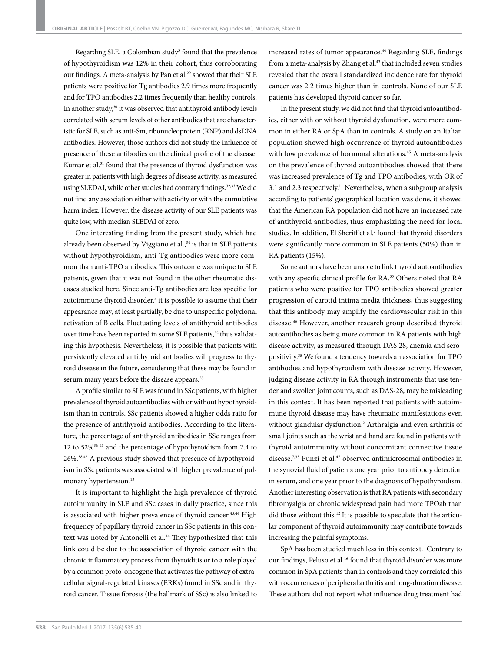Regarding SLE, a Colombian study<sup>5</sup> found that the prevalence of hypothyroidism was 12% in their cohort, thus corroborating our findings. A meta-analysis by Pan et al.<sup>29</sup> showed that their SLE patients were positive for Tg antibodies 2.9 times more frequently and for TPO antibodies 2.2 times frequently than healthy controls. In another study,<sup>30</sup> it was observed that antithyroid antibody levels correlated with serum levels of other antibodies that are characteristic for SLE, such as anti-Sm, ribonucleoprotein (RNP) and dsDNA antibodies. However, those authors did not study the influence of presence of these antibodies on the clinical profile of the disease. Kumar et al.<sup>31</sup> found that the presence of thyroid dysfunction was greater in patients with high degrees of disease activity, as measured using SLEDAI, while other studies had contrary findings.<sup>32,33</sup> We did not find any association either with activity or with the cumulative harm index. However, the disease activity of our SLE patients was quite low, with median SLEDAI of zero.

One interesting finding from the present study, which had already been observed by Viggiano et al.,<sup>34</sup> is that in SLE patients without hypothyroidism, anti-Tg antibodies were more common than anti-TPO antibodies. This outcome was unique to SLE patients, given that it was not found in the other rheumatic diseases studied here. Since anti-Tg antibodies are less specific for autoimmune thyroid disorder,<sup>4</sup> it is possible to assume that their appearance may, at least partially, be due to unspecific polyclonal activation of B cells. Fluctuating levels of antithyroid antibodies over time have been reported in some SLE patients,<sup>32</sup> thus validating this hypothesis. Nevertheless, it is possible that patients with persistently elevated antithyroid antibodies will progress to thyroid disease in the future, considering that these may be found in serum many years before the disease appears.<sup>35</sup>

A profile similar to SLE was found in SSc patients, with higher prevalence of thyroid autoantibodies with or without hypothyroidism than in controls. SSc patients showed a higher odds ratio for the presence of antithyroid antibodies. According to the literature, the percentage of antithyroid antibodies in SSc ranges from 12 to 52%36-41 and the percentage of hypothyroidism from 2.4 to 26%.38,42 A previous study showed that presence of hypothyroidism in SSc patients was associated with higher prevalence of pulmonary hypertension.<sup>13</sup>

It is important to highlight the high prevalence of thyroid autoimmunity in SLE and SSc cases in daily practice, since this is associated with higher prevalence of thyroid cancer.<sup>43,44</sup> High frequency of papillary thyroid cancer in SSc patients in this context was noted by Antonelli et al.<sup>44</sup> They hypothesized that this link could be due to the association of thyroid cancer with the chronic inflammatory process from thyroiditis or to a role played by a common proto-oncogene that activates the pathway of extracellular signal-regulated kinases (ERKs) found in SSc and in thyroid cancer. Tissue fibrosis (the hallmark of SSc) is also linked to

increased rates of tumor appearance.<sup>44</sup> Regarding SLE, findings from a meta-analysis by Zhang et al.<sup>43</sup> that included seven studies revealed that the overall standardized incidence rate for thyroid cancer was 2.2 times higher than in controls. None of our SLE patients has developed thyroid cancer so far.

In the present study, we did not find that thyroid autoantibodies, either with or without thyroid dysfunction, were more common in either RA or SpA than in controls. A study on an Italian population showed high occurrence of thyroid autoantibodies with low prevalence of hormonal alterations.<sup>45</sup> A meta-analysis on the prevalence of thyroid autoantibodies showed that there was increased prevalence of Tg and TPO antibodies, with OR of 3.1 and 2.3 respectively.11 Nevertheless, when a subgroup analysis according to patients' geographical location was done, it showed that the American RA population did not have an increased rate of antithyroid antibodies, thus emphasizing the need for local studies. In addition, El Sheriff et al.<sup>2</sup> found that thyroid disorders were significantly more common in SLE patients (50%) than in RA patients (15%).

Some authors have been unable to link thyroid autoantibodies with any specific clinical profile for RA.<sup>35</sup> Others noted that RA patients who were positive for TPO antibodies showed greater progression of carotid intima media thickness, thus suggesting that this antibody may amplify the cardiovascular risk in this disease.46 However, another research group described thyroid autoantibodies as being more common in RA patients with high disease activity, as measured through DAS 28, anemia and seropositivity.35 We found a tendency towards an association for TPO antibodies and hypothyroidism with disease activity. However, judging disease activity in RA through instruments that use tender and swollen joint counts, such as DAS-28, may be misleading in this context. It has been reported that patients with autoimmune thyroid disease may have rheumatic manifestations even without glandular dysfunction.<sup>2</sup> Arthralgia and even arthritis of small joints such as the wrist and hand are found in patients with thyroid autoimmunity without concomitant connective tissue disease.<sup>7,35</sup> Punzi et al.<sup>47</sup> observed antimicrosomal antibodies in the synovial fluid of patients one year prior to antibody detection in serum, and one year prior to the diagnosis of hypothyroidism. Another interesting observation is that RA patients with secondary fibromyalgia or chronic widespread pain had more TPOab than did those without this.12 It is possible to speculate that the articular component of thyroid autoimmunity may contribute towards increasing the painful symptoms.

SpA has been studied much less in this context. Contrary to our findings, Peluso et al.<sup>16</sup> found that thyroid disorder was more common in SpA patients than in controls and they correlated this with occurrences of peripheral arthritis and long-duration disease. These authors did not report what influence drug treatment had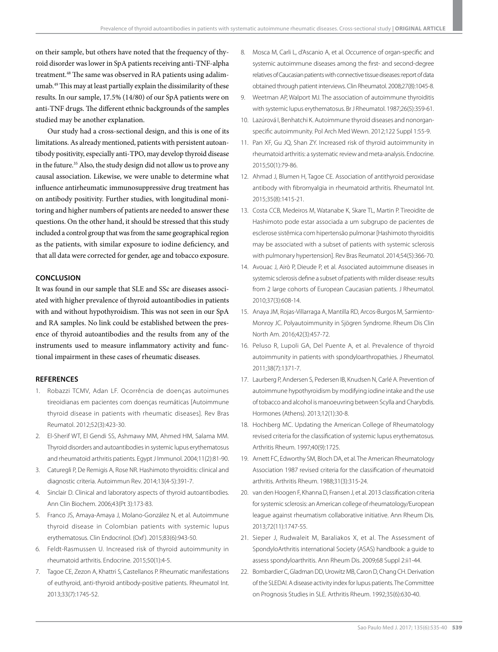on their sample, but others have noted that the frequency of thyroid disorder was lower in SpA patients receiving anti-TNF-alpha treatment.<sup>48</sup> The same was observed in RA patients using adalimumab.49 This may at least partially explain the dissimilarity of these results. In our sample, 17.5% (14/80) of our SpA patients were on anti-TNF drugs. The different ethnic backgrounds of the samples studied may be another explanation.

Our study had a cross-sectional design, and this is one of its limitations. As already mentioned, patients with persistent autoantibody positivity, especially anti-TPO, may develop thyroid disease in the future.35 Also, the study design did not allow us to prove any causal association. Likewise, we were unable to determine what influence antirheumatic immunosuppressive drug treatment has on antibody positivity. Further studies, with longitudinal monitoring and higher numbers of patients are needed to answer these questions. On the other hand, it should be stressed that this study included a control group that was from the same geographical region as the patients, with similar exposure to iodine deficiency, and that all data were corrected for gender, age and tobacco exposure.

# **CONCLUSION**

It was found in our sample that SLE and SSc are diseases associated with higher prevalence of thyroid autoantibodies in patients with and without hypothyroidism. This was not seen in our SpA and RA samples. No link could be established between the presence of thyroid autoantibodies and the results from any of the instruments used to measure inflammatory activity and functional impairment in these cases of rheumatic diseases.

# **REFERENCES**

- 1. Robazzi TCMV, Adan LF. Ocorrência de doenças autoimunes tireoidianas em pacientes com doenças reumáticas [Autoimmune thyroid disease in patients with rheumatic diseases]. Rev Bras Reumatol. 2012;52(3):423-30.
- 2. El-Sherif WT, El Gendi SS, Ashmawy MM, Ahmed HM, Salama MM. Thyroid disorders and autoantibodies in systemic lupus erythematosus and rheumatoid arthritis patients. Egypt J Immunol. 2004;11(2):81-90.
- 3. Caturegli P, De Remigis A, Rose NR. Hashimoto thyroiditis: clinical and diagnostic criteria. Autoimmun Rev. 2014;13(4-5):391-7.
- 4. Sinclair D. Clinical and laboratory aspects of thyroid autoantibodies. Ann Clin Biochem. 2006;43(Pt 3):173-83.
- 5. Franco JS, Amaya-Amaya J, Molano-González N, et al. Autoimmune thyroid disease in Colombian patients with systemic lupus erythematosus. Clin Endocrinol. (Oxf ). 2015;83(6):943-50.
- 6. Feldt-Rasmussen U. Increased risk of thyroid autoimmunity in rheumatoid arthritis. Endocrine. 2015;50(1):4-5.
- 7. Tagoe CE, Zezon A, Khattri S, Castellanos P. Rheumatic manifestations of euthyroid, anti-thyroid antibody-positive patients. Rheumatol Int. 2013;33(7):1745-52.
- 8. Mosca M, Carli L, d'Ascanio A, et al. Occurrence of organ-specific and systemic autoimmune diseases among the first- and second-degree relatives of Caucasian patients with connective tissue diseases: report of data obtained through patient interviews. Clin Rheumatol. 2008;27(8):1045-8.
- 9. Weetman AP, Walport MJ. The association of autoimmune thyroiditis with systemic lupus erythematosus. Br J Rheumatol. 1987;26(5):359-61.
- 10. Lazúrová I, Benhatchi K. Autoimmune thyroid diseases and nonorganspecific autoimmunity. Pol Arch Med Wewn. 2012;122 Suppl 1:55-9.
- 11. Pan XF, Gu JQ, Shan ZY. Increased risk of thyroid autoimmunity in rheumatoid arthritis: a systematic review and meta-analysis. Endocrine. 2015;50(1):79-86.
- 12. Ahmad J, Blumen H, Tagoe CE. Association of antithyroid peroxidase antibody with fibromyalgia in rheumatoid arthritis. Rheumatol Int. 2015;35(8):1415-21.
- 13. Costa CCB, Medeiros M, Watanabe K, Skare TL, Martin P. Tireoidite de Hashimoto pode estar associada a um subgrupo de pacientes de esclerose sistêmica com hipertensão pulmonar [Hashimoto thyroiditis may be associated with a subset of patients with systemic sclerosis with pulmonary hypertension]. Rev Bras Reumatol. 2014;54(5):366-70.
- 14. Avouac J, Airò P, Dieude P, et al. Associated autoimmune diseases in systemic sclerosis define a subset of patients with milder disease: results from 2 large cohorts of European Caucasian patients. J Rheumatol. 2010;37(3):608-14.
- 15. Anaya JM, Rojas-Villarraga A, Mantilla RD, Arcos-Burgos M, Sarmiento-Monroy JC. Polyautoimmunity in Sjögren Syndrome. Rheum Dis Clin North Am. 2016;42(3):457-72.
- 16. Peluso R, Lupoli GA, Del Puente A, et al. Prevalence of thyroid autoimmunity in patients with spondyloarthropathies. J Rheumatol. 2011;38(7):1371-7.
- 17. Laurberg P, Andersen S, Pedersen IB, Knudsen N, Carlé A. Prevention of autoimmune hypothyroidism by modifying iodine intake and the use of tobacco and alcohol is manoeuvring between Scylla and Charybdis. Hormones (Athens). 2013;12(1):30-8.
- 18. Hochberg MC. Updating the American College of Rheumatology revised criteria for the classification of systemic lupus erythematosus. Arthritis Rheum. 1997;40(9):1725.
- 19. Arnett FC, Edworthy SM, Bloch DA, et al. The American Rheumatology Association 1987 revised criteria for the classification of rheumatoid arthritis. Arthritis Rheum. 1988;31(3):315-24.
- 20. van den Hoogen F, Khanna D, Fransen J, et al. 2013 classification criteria for systemic sclerosis: an American college of rheumatology/European league against rheumatism collaborative initiative. Ann Rheum Dis. 2013;72(11):1747-55.
- 21. Sieper J, Rudwaleit M, Baraliakos X, et al. The Assessment of SpondyloArthritis international Society (ASAS) handbook: a guide to assess spondyloarthritis. Ann Rheum Dis. 2009;68 Suppl 2:ii1-44.
- 22. Bombardier C, Gladman DD, Urowitz MB, Caron D, Chang CH. Derivation of the SLEDAI. A disease activity index for lupus patients. The Committee on Prognosis Studies in SLE. Arthritis Rheum. 1992;35(6):630-40.